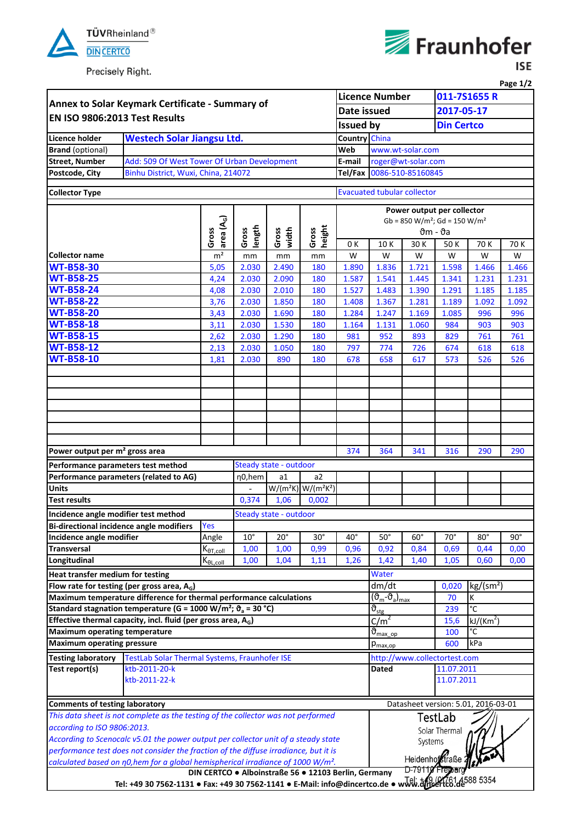

Precisely Right.



**ISE** 

| 011-7S1655 R<br>Annex to Solar Keymark Certificate - Summary of<br>2017-05-17<br>Date issued<br>EN ISO 9806:2013 Test Results<br><b>Issued by</b><br><b>Din Certco</b><br>Country China<br><b>Westech Solar Jiangsu Ltd.</b><br><b>Licence holder</b><br><b>Brand</b> (optional)<br>www.wt-solar.com<br>Web<br>Add: 509 Of West Tower Of Urban Development<br><b>Street, Number</b><br>E-mail<br>roger@wt-solar.com<br>Binhu District, Wuxi, China, 214072<br>0086-510-85160845<br>Postcode, City<br>Tel/Fax<br><b>Collector Type</b><br><b>Evacuated tubular collector</b><br>Power output per collector<br>area (A $_{\rm G}$ )<br>$Gb = 850 W/m^2$ ; $Gd = 150 W/m^2$<br>height<br>length<br>Gross<br>width<br>Gross<br>Gross<br>Gross<br>$\vartheta$ m - $\vartheta$ a<br>0 K<br>10K<br>30 K<br>50 K<br>70 K<br>m <sup>2</sup><br>W<br><b>Collector name</b><br>W<br>W<br>W<br>W<br>mm<br>mm<br>mm<br><b>WT-B58-30</b><br>1.836<br>1.598<br>5,05<br>2.030<br>2.490<br>180<br>1.890<br>1.721<br>1.466<br><b>WT-B58-25</b><br>2.030<br>4,24<br>2.090<br>180<br>1.587<br>1.541<br>1.445<br>1.341<br>1.231<br><b>WT-B58-24</b><br>4,08<br>2.030<br>2.010<br>1.527<br>1.483<br>1.390<br>1.291<br>1.185<br>180<br><b>WT-B58-22</b><br>2.030<br>3,76<br>1.850<br>1.408<br>1.367<br>1.281<br>1.189<br>1.092<br>180<br><b>WT-B58-20</b><br>3,43<br>2.030<br>1.690<br>180<br>1.284<br>1.247<br>1.169<br>1.085<br>996<br><b>WT-B58-18</b><br>2.030<br>1.530<br>984<br>180<br>1.164<br>1.131<br>1.060<br>903<br>3,11<br><b>WT-B58-15</b><br>1.290<br>2.030<br>180<br>981<br>952<br>893<br>829<br>761<br>2,62<br><b>WT-B58-12</b><br>2.030<br>2,13<br>1.050<br>180<br>797<br>774<br>726<br>674<br>618<br><b>WT-B58-10</b><br>2.030<br>890<br>180<br>678<br>526<br>1,81<br>658<br>617<br>573<br>Power output per m <sup>2</sup> gross area<br>374<br>364<br>341<br>316<br>290<br>Performance parameters test method<br>Steady state - outdoor<br>Performance parameters (related to AG)<br>η0,hem<br>a2<br>a1<br>$W/(m^2K)$ W/( $m^2K^2$ )<br><b>Units</b><br>$\overline{\phantom{a}}$<br><b>Test results</b><br>0,374<br>0,002<br>1,06<br>Incidence angle modifier test method<br>Steady state - outdoor<br>Bi-directional incidence angle modifiers<br><b>Yes</b><br>Incidence angle modifier<br>$10^{\circ}$<br>$20^{\circ}$<br>$30^\circ$<br>$40^{\circ}$<br>$50^\circ$<br>$60^{\circ}$<br>$70^{\circ}$<br>$80^\circ$<br>Angle<br>1,00<br>0,99<br>0,96<br>0,92<br>0,84<br>0,69<br>1,00<br>0,44<br><b>Transversal</b><br>$K_{\theta T, coll}$<br>Longitudinal<br>$K_{\theta L, coll}$<br>1,00<br>1,04<br>1,42<br>0,60<br>1,11<br>1,26<br>1,40<br>1,05<br>0,00<br>Water<br>Heat transfer medium for testing<br>kg/(sm <sup>2</sup> )<br>Flow rate for testing (per gross area, $A_G$ )<br>dm/dt<br>0,020<br>Maximum temperature difference for thermal performance calculations<br>$(\vartheta_{\sf m}\text{-}\vartheta_{\sf a})_{\sf max}$<br>K<br>70<br>Standard stagnation temperature (G = 1000 W/m <sup>2</sup> ; $\vartheta_a$ = 30 °C)<br>ី<br>, $\vartheta_{\texttt{stg}}$<br>239<br>Effective thermal capacity, incl. fluid (per gross area, $A_G$ )<br>$c/m^2$<br>15,6<br>kJ/(Km <sup>2</sup> )<br>$\vartheta_{\text{max} \text{ op}}$<br>°C<br><b>Maximum operating temperature</b><br>100<br><b>Maximum operating pressure</b><br>kPa<br>600<br>$p_{\text{max,op}}$<br>TestLab Solar Thermal Systems, Fraunhofer ISE<br>http://www.collectortest.com<br><b>Testing laboratory</b><br>Test report(s)<br>ktb-2011-20-k<br><b>Dated</b><br>11.07.2011<br>ktb-2011-22-k<br>11.07.2011 |                                                                                                                                                                                                   |  |  |  |  |  |  |                                     |  |  |  | Page 1/2       |  |  |
|---------------------------------------------------------------------------------------------------------------------------------------------------------------------------------------------------------------------------------------------------------------------------------------------------------------------------------------------------------------------------------------------------------------------------------------------------------------------------------------------------------------------------------------------------------------------------------------------------------------------------------------------------------------------------------------------------------------------------------------------------------------------------------------------------------------------------------------------------------------------------------------------------------------------------------------------------------------------------------------------------------------------------------------------------------------------------------------------------------------------------------------------------------------------------------------------------------------------------------------------------------------------------------------------------------------------------------------------------------------------------------------------------------------------------------------------------------------------------------------------------------------------------------------------------------------------------------------------------------------------------------------------------------------------------------------------------------------------------------------------------------------------------------------------------------------------------------------------------------------------------------------------------------------------------------------------------------------------------------------------------------------------------------------------------------------------------------------------------------------------------------------------------------------------------------------------------------------------------------------------------------------------------------------------------------------------------------------------------------------------------------------------------------------------------------------------------------------------------------------------------------------------------------------------------------------------------------------------------------------------------------------------------------------------------------------------------------------------------------------------------------------------------------------------------------------------------------------------------------------------------------------------------------------------------------------------------------------------------------------------------------------------------------------------------------------------------------------------------------------------------------------------------------------------------------------------------------------------------------------------------------------------------------------------------------------------------------------------------------------------------------------------------------------------------------------------------------------------------------------------------------------------------------------------------------------------------------------|---------------------------------------------------------------------------------------------------------------------------------------------------------------------------------------------------|--|--|--|--|--|--|-------------------------------------|--|--|--|----------------|--|--|
|                                                                                                                                                                                                                                                                                                                                                                                                                                                                                                                                                                                                                                                                                                                                                                                                                                                                                                                                                                                                                                                                                                                                                                                                                                                                                                                                                                                                                                                                                                                                                                                                                                                                                                                                                                                                                                                                                                                                                                                                                                                                                                                                                                                                                                                                                                                                                                                                                                                                                                                                                                                                                                                                                                                                                                                                                                                                                                                                                                                                                                                                                                                                                                                                                                                                                                                                                                                                                                                                                                                                                                                       |                                                                                                                                                                                                   |  |  |  |  |  |  | <b>Licence Number</b>               |  |  |  |                |  |  |
|                                                                                                                                                                                                                                                                                                                                                                                                                                                                                                                                                                                                                                                                                                                                                                                                                                                                                                                                                                                                                                                                                                                                                                                                                                                                                                                                                                                                                                                                                                                                                                                                                                                                                                                                                                                                                                                                                                                                                                                                                                                                                                                                                                                                                                                                                                                                                                                                                                                                                                                                                                                                                                                                                                                                                                                                                                                                                                                                                                                                                                                                                                                                                                                                                                                                                                                                                                                                                                                                                                                                                                                       |                                                                                                                                                                                                   |  |  |  |  |  |  |                                     |  |  |  |                |  |  |
|                                                                                                                                                                                                                                                                                                                                                                                                                                                                                                                                                                                                                                                                                                                                                                                                                                                                                                                                                                                                                                                                                                                                                                                                                                                                                                                                                                                                                                                                                                                                                                                                                                                                                                                                                                                                                                                                                                                                                                                                                                                                                                                                                                                                                                                                                                                                                                                                                                                                                                                                                                                                                                                                                                                                                                                                                                                                                                                                                                                                                                                                                                                                                                                                                                                                                                                                                                                                                                                                                                                                                                                       |                                                                                                                                                                                                   |  |  |  |  |  |  |                                     |  |  |  |                |  |  |
|                                                                                                                                                                                                                                                                                                                                                                                                                                                                                                                                                                                                                                                                                                                                                                                                                                                                                                                                                                                                                                                                                                                                                                                                                                                                                                                                                                                                                                                                                                                                                                                                                                                                                                                                                                                                                                                                                                                                                                                                                                                                                                                                                                                                                                                                                                                                                                                                                                                                                                                                                                                                                                                                                                                                                                                                                                                                                                                                                                                                                                                                                                                                                                                                                                                                                                                                                                                                                                                                                                                                                                                       |                                                                                                                                                                                                   |  |  |  |  |  |  |                                     |  |  |  |                |  |  |
|                                                                                                                                                                                                                                                                                                                                                                                                                                                                                                                                                                                                                                                                                                                                                                                                                                                                                                                                                                                                                                                                                                                                                                                                                                                                                                                                                                                                                                                                                                                                                                                                                                                                                                                                                                                                                                                                                                                                                                                                                                                                                                                                                                                                                                                                                                                                                                                                                                                                                                                                                                                                                                                                                                                                                                                                                                                                                                                                                                                                                                                                                                                                                                                                                                                                                                                                                                                                                                                                                                                                                                                       |                                                                                                                                                                                                   |  |  |  |  |  |  |                                     |  |  |  |                |  |  |
|                                                                                                                                                                                                                                                                                                                                                                                                                                                                                                                                                                                                                                                                                                                                                                                                                                                                                                                                                                                                                                                                                                                                                                                                                                                                                                                                                                                                                                                                                                                                                                                                                                                                                                                                                                                                                                                                                                                                                                                                                                                                                                                                                                                                                                                                                                                                                                                                                                                                                                                                                                                                                                                                                                                                                                                                                                                                                                                                                                                                                                                                                                                                                                                                                                                                                                                                                                                                                                                                                                                                                                                       |                                                                                                                                                                                                   |  |  |  |  |  |  |                                     |  |  |  |                |  |  |
|                                                                                                                                                                                                                                                                                                                                                                                                                                                                                                                                                                                                                                                                                                                                                                                                                                                                                                                                                                                                                                                                                                                                                                                                                                                                                                                                                                                                                                                                                                                                                                                                                                                                                                                                                                                                                                                                                                                                                                                                                                                                                                                                                                                                                                                                                                                                                                                                                                                                                                                                                                                                                                                                                                                                                                                                                                                                                                                                                                                                                                                                                                                                                                                                                                                                                                                                                                                                                                                                                                                                                                                       |                                                                                                                                                                                                   |  |  |  |  |  |  |                                     |  |  |  |                |  |  |
|                                                                                                                                                                                                                                                                                                                                                                                                                                                                                                                                                                                                                                                                                                                                                                                                                                                                                                                                                                                                                                                                                                                                                                                                                                                                                                                                                                                                                                                                                                                                                                                                                                                                                                                                                                                                                                                                                                                                                                                                                                                                                                                                                                                                                                                                                                                                                                                                                                                                                                                                                                                                                                                                                                                                                                                                                                                                                                                                                                                                                                                                                                                                                                                                                                                                                                                                                                                                                                                                                                                                                                                       |                                                                                                                                                                                                   |  |  |  |  |  |  |                                     |  |  |  |                |  |  |
|                                                                                                                                                                                                                                                                                                                                                                                                                                                                                                                                                                                                                                                                                                                                                                                                                                                                                                                                                                                                                                                                                                                                                                                                                                                                                                                                                                                                                                                                                                                                                                                                                                                                                                                                                                                                                                                                                                                                                                                                                                                                                                                                                                                                                                                                                                                                                                                                                                                                                                                                                                                                                                                                                                                                                                                                                                                                                                                                                                                                                                                                                                                                                                                                                                                                                                                                                                                                                                                                                                                                                                                       |                                                                                                                                                                                                   |  |  |  |  |  |  |                                     |  |  |  |                |  |  |
|                                                                                                                                                                                                                                                                                                                                                                                                                                                                                                                                                                                                                                                                                                                                                                                                                                                                                                                                                                                                                                                                                                                                                                                                                                                                                                                                                                                                                                                                                                                                                                                                                                                                                                                                                                                                                                                                                                                                                                                                                                                                                                                                                                                                                                                                                                                                                                                                                                                                                                                                                                                                                                                                                                                                                                                                                                                                                                                                                                                                                                                                                                                                                                                                                                                                                                                                                                                                                                                                                                                                                                                       |                                                                                                                                                                                                   |  |  |  |  |  |  |                                     |  |  |  |                |  |  |
|                                                                                                                                                                                                                                                                                                                                                                                                                                                                                                                                                                                                                                                                                                                                                                                                                                                                                                                                                                                                                                                                                                                                                                                                                                                                                                                                                                                                                                                                                                                                                                                                                                                                                                                                                                                                                                                                                                                                                                                                                                                                                                                                                                                                                                                                                                                                                                                                                                                                                                                                                                                                                                                                                                                                                                                                                                                                                                                                                                                                                                                                                                                                                                                                                                                                                                                                                                                                                                                                                                                                                                                       |                                                                                                                                                                                                   |  |  |  |  |  |  |                                     |  |  |  |                |  |  |
|                                                                                                                                                                                                                                                                                                                                                                                                                                                                                                                                                                                                                                                                                                                                                                                                                                                                                                                                                                                                                                                                                                                                                                                                                                                                                                                                                                                                                                                                                                                                                                                                                                                                                                                                                                                                                                                                                                                                                                                                                                                                                                                                                                                                                                                                                                                                                                                                                                                                                                                                                                                                                                                                                                                                                                                                                                                                                                                                                                                                                                                                                                                                                                                                                                                                                                                                                                                                                                                                                                                                                                                       |                                                                                                                                                                                                   |  |  |  |  |  |  |                                     |  |  |  | 70 K           |  |  |
|                                                                                                                                                                                                                                                                                                                                                                                                                                                                                                                                                                                                                                                                                                                                                                                                                                                                                                                                                                                                                                                                                                                                                                                                                                                                                                                                                                                                                                                                                                                                                                                                                                                                                                                                                                                                                                                                                                                                                                                                                                                                                                                                                                                                                                                                                                                                                                                                                                                                                                                                                                                                                                                                                                                                                                                                                                                                                                                                                                                                                                                                                                                                                                                                                                                                                                                                                                                                                                                                                                                                                                                       |                                                                                                                                                                                                   |  |  |  |  |  |  |                                     |  |  |  | W              |  |  |
|                                                                                                                                                                                                                                                                                                                                                                                                                                                                                                                                                                                                                                                                                                                                                                                                                                                                                                                                                                                                                                                                                                                                                                                                                                                                                                                                                                                                                                                                                                                                                                                                                                                                                                                                                                                                                                                                                                                                                                                                                                                                                                                                                                                                                                                                                                                                                                                                                                                                                                                                                                                                                                                                                                                                                                                                                                                                                                                                                                                                                                                                                                                                                                                                                                                                                                                                                                                                                                                                                                                                                                                       |                                                                                                                                                                                                   |  |  |  |  |  |  |                                     |  |  |  | 1.466<br>1.231 |  |  |
|                                                                                                                                                                                                                                                                                                                                                                                                                                                                                                                                                                                                                                                                                                                                                                                                                                                                                                                                                                                                                                                                                                                                                                                                                                                                                                                                                                                                                                                                                                                                                                                                                                                                                                                                                                                                                                                                                                                                                                                                                                                                                                                                                                                                                                                                                                                                                                                                                                                                                                                                                                                                                                                                                                                                                                                                                                                                                                                                                                                                                                                                                                                                                                                                                                                                                                                                                                                                                                                                                                                                                                                       |                                                                                                                                                                                                   |  |  |  |  |  |  |                                     |  |  |  | 1.185          |  |  |
|                                                                                                                                                                                                                                                                                                                                                                                                                                                                                                                                                                                                                                                                                                                                                                                                                                                                                                                                                                                                                                                                                                                                                                                                                                                                                                                                                                                                                                                                                                                                                                                                                                                                                                                                                                                                                                                                                                                                                                                                                                                                                                                                                                                                                                                                                                                                                                                                                                                                                                                                                                                                                                                                                                                                                                                                                                                                                                                                                                                                                                                                                                                                                                                                                                                                                                                                                                                                                                                                                                                                                                                       |                                                                                                                                                                                                   |  |  |  |  |  |  |                                     |  |  |  | 1.092          |  |  |
|                                                                                                                                                                                                                                                                                                                                                                                                                                                                                                                                                                                                                                                                                                                                                                                                                                                                                                                                                                                                                                                                                                                                                                                                                                                                                                                                                                                                                                                                                                                                                                                                                                                                                                                                                                                                                                                                                                                                                                                                                                                                                                                                                                                                                                                                                                                                                                                                                                                                                                                                                                                                                                                                                                                                                                                                                                                                                                                                                                                                                                                                                                                                                                                                                                                                                                                                                                                                                                                                                                                                                                                       |                                                                                                                                                                                                   |  |  |  |  |  |  |                                     |  |  |  | 996            |  |  |
|                                                                                                                                                                                                                                                                                                                                                                                                                                                                                                                                                                                                                                                                                                                                                                                                                                                                                                                                                                                                                                                                                                                                                                                                                                                                                                                                                                                                                                                                                                                                                                                                                                                                                                                                                                                                                                                                                                                                                                                                                                                                                                                                                                                                                                                                                                                                                                                                                                                                                                                                                                                                                                                                                                                                                                                                                                                                                                                                                                                                                                                                                                                                                                                                                                                                                                                                                                                                                                                                                                                                                                                       |                                                                                                                                                                                                   |  |  |  |  |  |  |                                     |  |  |  | 903            |  |  |
|                                                                                                                                                                                                                                                                                                                                                                                                                                                                                                                                                                                                                                                                                                                                                                                                                                                                                                                                                                                                                                                                                                                                                                                                                                                                                                                                                                                                                                                                                                                                                                                                                                                                                                                                                                                                                                                                                                                                                                                                                                                                                                                                                                                                                                                                                                                                                                                                                                                                                                                                                                                                                                                                                                                                                                                                                                                                                                                                                                                                                                                                                                                                                                                                                                                                                                                                                                                                                                                                                                                                                                                       |                                                                                                                                                                                                   |  |  |  |  |  |  |                                     |  |  |  | 761            |  |  |
|                                                                                                                                                                                                                                                                                                                                                                                                                                                                                                                                                                                                                                                                                                                                                                                                                                                                                                                                                                                                                                                                                                                                                                                                                                                                                                                                                                                                                                                                                                                                                                                                                                                                                                                                                                                                                                                                                                                                                                                                                                                                                                                                                                                                                                                                                                                                                                                                                                                                                                                                                                                                                                                                                                                                                                                                                                                                                                                                                                                                                                                                                                                                                                                                                                                                                                                                                                                                                                                                                                                                                                                       |                                                                                                                                                                                                   |  |  |  |  |  |  |                                     |  |  |  | 618            |  |  |
|                                                                                                                                                                                                                                                                                                                                                                                                                                                                                                                                                                                                                                                                                                                                                                                                                                                                                                                                                                                                                                                                                                                                                                                                                                                                                                                                                                                                                                                                                                                                                                                                                                                                                                                                                                                                                                                                                                                                                                                                                                                                                                                                                                                                                                                                                                                                                                                                                                                                                                                                                                                                                                                                                                                                                                                                                                                                                                                                                                                                                                                                                                                                                                                                                                                                                                                                                                                                                                                                                                                                                                                       |                                                                                                                                                                                                   |  |  |  |  |  |  |                                     |  |  |  | 526            |  |  |
|                                                                                                                                                                                                                                                                                                                                                                                                                                                                                                                                                                                                                                                                                                                                                                                                                                                                                                                                                                                                                                                                                                                                                                                                                                                                                                                                                                                                                                                                                                                                                                                                                                                                                                                                                                                                                                                                                                                                                                                                                                                                                                                                                                                                                                                                                                                                                                                                                                                                                                                                                                                                                                                                                                                                                                                                                                                                                                                                                                                                                                                                                                                                                                                                                                                                                                                                                                                                                                                                                                                                                                                       |                                                                                                                                                                                                   |  |  |  |  |  |  |                                     |  |  |  |                |  |  |
|                                                                                                                                                                                                                                                                                                                                                                                                                                                                                                                                                                                                                                                                                                                                                                                                                                                                                                                                                                                                                                                                                                                                                                                                                                                                                                                                                                                                                                                                                                                                                                                                                                                                                                                                                                                                                                                                                                                                                                                                                                                                                                                                                                                                                                                                                                                                                                                                                                                                                                                                                                                                                                                                                                                                                                                                                                                                                                                                                                                                                                                                                                                                                                                                                                                                                                                                                                                                                                                                                                                                                                                       |                                                                                                                                                                                                   |  |  |  |  |  |  |                                     |  |  |  |                |  |  |
|                                                                                                                                                                                                                                                                                                                                                                                                                                                                                                                                                                                                                                                                                                                                                                                                                                                                                                                                                                                                                                                                                                                                                                                                                                                                                                                                                                                                                                                                                                                                                                                                                                                                                                                                                                                                                                                                                                                                                                                                                                                                                                                                                                                                                                                                                                                                                                                                                                                                                                                                                                                                                                                                                                                                                                                                                                                                                                                                                                                                                                                                                                                                                                                                                                                                                                                                                                                                                                                                                                                                                                                       |                                                                                                                                                                                                   |  |  |  |  |  |  |                                     |  |  |  |                |  |  |
|                                                                                                                                                                                                                                                                                                                                                                                                                                                                                                                                                                                                                                                                                                                                                                                                                                                                                                                                                                                                                                                                                                                                                                                                                                                                                                                                                                                                                                                                                                                                                                                                                                                                                                                                                                                                                                                                                                                                                                                                                                                                                                                                                                                                                                                                                                                                                                                                                                                                                                                                                                                                                                                                                                                                                                                                                                                                                                                                                                                                                                                                                                                                                                                                                                                                                                                                                                                                                                                                                                                                                                                       |                                                                                                                                                                                                   |  |  |  |  |  |  |                                     |  |  |  |                |  |  |
|                                                                                                                                                                                                                                                                                                                                                                                                                                                                                                                                                                                                                                                                                                                                                                                                                                                                                                                                                                                                                                                                                                                                                                                                                                                                                                                                                                                                                                                                                                                                                                                                                                                                                                                                                                                                                                                                                                                                                                                                                                                                                                                                                                                                                                                                                                                                                                                                                                                                                                                                                                                                                                                                                                                                                                                                                                                                                                                                                                                                                                                                                                                                                                                                                                                                                                                                                                                                                                                                                                                                                                                       |                                                                                                                                                                                                   |  |  |  |  |  |  |                                     |  |  |  |                |  |  |
|                                                                                                                                                                                                                                                                                                                                                                                                                                                                                                                                                                                                                                                                                                                                                                                                                                                                                                                                                                                                                                                                                                                                                                                                                                                                                                                                                                                                                                                                                                                                                                                                                                                                                                                                                                                                                                                                                                                                                                                                                                                                                                                                                                                                                                                                                                                                                                                                                                                                                                                                                                                                                                                                                                                                                                                                                                                                                                                                                                                                                                                                                                                                                                                                                                                                                                                                                                                                                                                                                                                                                                                       |                                                                                                                                                                                                   |  |  |  |  |  |  |                                     |  |  |  |                |  |  |
|                                                                                                                                                                                                                                                                                                                                                                                                                                                                                                                                                                                                                                                                                                                                                                                                                                                                                                                                                                                                                                                                                                                                                                                                                                                                                                                                                                                                                                                                                                                                                                                                                                                                                                                                                                                                                                                                                                                                                                                                                                                                                                                                                                                                                                                                                                                                                                                                                                                                                                                                                                                                                                                                                                                                                                                                                                                                                                                                                                                                                                                                                                                                                                                                                                                                                                                                                                                                                                                                                                                                                                                       |                                                                                                                                                                                                   |  |  |  |  |  |  |                                     |  |  |  | 290            |  |  |
|                                                                                                                                                                                                                                                                                                                                                                                                                                                                                                                                                                                                                                                                                                                                                                                                                                                                                                                                                                                                                                                                                                                                                                                                                                                                                                                                                                                                                                                                                                                                                                                                                                                                                                                                                                                                                                                                                                                                                                                                                                                                                                                                                                                                                                                                                                                                                                                                                                                                                                                                                                                                                                                                                                                                                                                                                                                                                                                                                                                                                                                                                                                                                                                                                                                                                                                                                                                                                                                                                                                                                                                       |                                                                                                                                                                                                   |  |  |  |  |  |  |                                     |  |  |  |                |  |  |
|                                                                                                                                                                                                                                                                                                                                                                                                                                                                                                                                                                                                                                                                                                                                                                                                                                                                                                                                                                                                                                                                                                                                                                                                                                                                                                                                                                                                                                                                                                                                                                                                                                                                                                                                                                                                                                                                                                                                                                                                                                                                                                                                                                                                                                                                                                                                                                                                                                                                                                                                                                                                                                                                                                                                                                                                                                                                                                                                                                                                                                                                                                                                                                                                                                                                                                                                                                                                                                                                                                                                                                                       |                                                                                                                                                                                                   |  |  |  |  |  |  |                                     |  |  |  |                |  |  |
|                                                                                                                                                                                                                                                                                                                                                                                                                                                                                                                                                                                                                                                                                                                                                                                                                                                                                                                                                                                                                                                                                                                                                                                                                                                                                                                                                                                                                                                                                                                                                                                                                                                                                                                                                                                                                                                                                                                                                                                                                                                                                                                                                                                                                                                                                                                                                                                                                                                                                                                                                                                                                                                                                                                                                                                                                                                                                                                                                                                                                                                                                                                                                                                                                                                                                                                                                                                                                                                                                                                                                                                       |                                                                                                                                                                                                   |  |  |  |  |  |  |                                     |  |  |  |                |  |  |
|                                                                                                                                                                                                                                                                                                                                                                                                                                                                                                                                                                                                                                                                                                                                                                                                                                                                                                                                                                                                                                                                                                                                                                                                                                                                                                                                                                                                                                                                                                                                                                                                                                                                                                                                                                                                                                                                                                                                                                                                                                                                                                                                                                                                                                                                                                                                                                                                                                                                                                                                                                                                                                                                                                                                                                                                                                                                                                                                                                                                                                                                                                                                                                                                                                                                                                                                                                                                                                                                                                                                                                                       |                                                                                                                                                                                                   |  |  |  |  |  |  |                                     |  |  |  |                |  |  |
|                                                                                                                                                                                                                                                                                                                                                                                                                                                                                                                                                                                                                                                                                                                                                                                                                                                                                                                                                                                                                                                                                                                                                                                                                                                                                                                                                                                                                                                                                                                                                                                                                                                                                                                                                                                                                                                                                                                                                                                                                                                                                                                                                                                                                                                                                                                                                                                                                                                                                                                                                                                                                                                                                                                                                                                                                                                                                                                                                                                                                                                                                                                                                                                                                                                                                                                                                                                                                                                                                                                                                                                       |                                                                                                                                                                                                   |  |  |  |  |  |  |                                     |  |  |  |                |  |  |
|                                                                                                                                                                                                                                                                                                                                                                                                                                                                                                                                                                                                                                                                                                                                                                                                                                                                                                                                                                                                                                                                                                                                                                                                                                                                                                                                                                                                                                                                                                                                                                                                                                                                                                                                                                                                                                                                                                                                                                                                                                                                                                                                                                                                                                                                                                                                                                                                                                                                                                                                                                                                                                                                                                                                                                                                                                                                                                                                                                                                                                                                                                                                                                                                                                                                                                                                                                                                                                                                                                                                                                                       |                                                                                                                                                                                                   |  |  |  |  |  |  |                                     |  |  |  |                |  |  |
|                                                                                                                                                                                                                                                                                                                                                                                                                                                                                                                                                                                                                                                                                                                                                                                                                                                                                                                                                                                                                                                                                                                                                                                                                                                                                                                                                                                                                                                                                                                                                                                                                                                                                                                                                                                                                                                                                                                                                                                                                                                                                                                                                                                                                                                                                                                                                                                                                                                                                                                                                                                                                                                                                                                                                                                                                                                                                                                                                                                                                                                                                                                                                                                                                                                                                                                                                                                                                                                                                                                                                                                       |                                                                                                                                                                                                   |  |  |  |  |  |  |                                     |  |  |  | $90^{\circ}$   |  |  |
|                                                                                                                                                                                                                                                                                                                                                                                                                                                                                                                                                                                                                                                                                                                                                                                                                                                                                                                                                                                                                                                                                                                                                                                                                                                                                                                                                                                                                                                                                                                                                                                                                                                                                                                                                                                                                                                                                                                                                                                                                                                                                                                                                                                                                                                                                                                                                                                                                                                                                                                                                                                                                                                                                                                                                                                                                                                                                                                                                                                                                                                                                                                                                                                                                                                                                                                                                                                                                                                                                                                                                                                       |                                                                                                                                                                                                   |  |  |  |  |  |  |                                     |  |  |  | 0,00           |  |  |
|                                                                                                                                                                                                                                                                                                                                                                                                                                                                                                                                                                                                                                                                                                                                                                                                                                                                                                                                                                                                                                                                                                                                                                                                                                                                                                                                                                                                                                                                                                                                                                                                                                                                                                                                                                                                                                                                                                                                                                                                                                                                                                                                                                                                                                                                                                                                                                                                                                                                                                                                                                                                                                                                                                                                                                                                                                                                                                                                                                                                                                                                                                                                                                                                                                                                                                                                                                                                                                                                                                                                                                                       |                                                                                                                                                                                                   |  |  |  |  |  |  |                                     |  |  |  |                |  |  |
|                                                                                                                                                                                                                                                                                                                                                                                                                                                                                                                                                                                                                                                                                                                                                                                                                                                                                                                                                                                                                                                                                                                                                                                                                                                                                                                                                                                                                                                                                                                                                                                                                                                                                                                                                                                                                                                                                                                                                                                                                                                                                                                                                                                                                                                                                                                                                                                                                                                                                                                                                                                                                                                                                                                                                                                                                                                                                                                                                                                                                                                                                                                                                                                                                                                                                                                                                                                                                                                                                                                                                                                       |                                                                                                                                                                                                   |  |  |  |  |  |  |                                     |  |  |  |                |  |  |
|                                                                                                                                                                                                                                                                                                                                                                                                                                                                                                                                                                                                                                                                                                                                                                                                                                                                                                                                                                                                                                                                                                                                                                                                                                                                                                                                                                                                                                                                                                                                                                                                                                                                                                                                                                                                                                                                                                                                                                                                                                                                                                                                                                                                                                                                                                                                                                                                                                                                                                                                                                                                                                                                                                                                                                                                                                                                                                                                                                                                                                                                                                                                                                                                                                                                                                                                                                                                                                                                                                                                                                                       |                                                                                                                                                                                                   |  |  |  |  |  |  |                                     |  |  |  |                |  |  |
|                                                                                                                                                                                                                                                                                                                                                                                                                                                                                                                                                                                                                                                                                                                                                                                                                                                                                                                                                                                                                                                                                                                                                                                                                                                                                                                                                                                                                                                                                                                                                                                                                                                                                                                                                                                                                                                                                                                                                                                                                                                                                                                                                                                                                                                                                                                                                                                                                                                                                                                                                                                                                                                                                                                                                                                                                                                                                                                                                                                                                                                                                                                                                                                                                                                                                                                                                                                                                                                                                                                                                                                       |                                                                                                                                                                                                   |  |  |  |  |  |  |                                     |  |  |  |                |  |  |
|                                                                                                                                                                                                                                                                                                                                                                                                                                                                                                                                                                                                                                                                                                                                                                                                                                                                                                                                                                                                                                                                                                                                                                                                                                                                                                                                                                                                                                                                                                                                                                                                                                                                                                                                                                                                                                                                                                                                                                                                                                                                                                                                                                                                                                                                                                                                                                                                                                                                                                                                                                                                                                                                                                                                                                                                                                                                                                                                                                                                                                                                                                                                                                                                                                                                                                                                                                                                                                                                                                                                                                                       |                                                                                                                                                                                                   |  |  |  |  |  |  |                                     |  |  |  |                |  |  |
|                                                                                                                                                                                                                                                                                                                                                                                                                                                                                                                                                                                                                                                                                                                                                                                                                                                                                                                                                                                                                                                                                                                                                                                                                                                                                                                                                                                                                                                                                                                                                                                                                                                                                                                                                                                                                                                                                                                                                                                                                                                                                                                                                                                                                                                                                                                                                                                                                                                                                                                                                                                                                                                                                                                                                                                                                                                                                                                                                                                                                                                                                                                                                                                                                                                                                                                                                                                                                                                                                                                                                                                       |                                                                                                                                                                                                   |  |  |  |  |  |  |                                     |  |  |  |                |  |  |
|                                                                                                                                                                                                                                                                                                                                                                                                                                                                                                                                                                                                                                                                                                                                                                                                                                                                                                                                                                                                                                                                                                                                                                                                                                                                                                                                                                                                                                                                                                                                                                                                                                                                                                                                                                                                                                                                                                                                                                                                                                                                                                                                                                                                                                                                                                                                                                                                                                                                                                                                                                                                                                                                                                                                                                                                                                                                                                                                                                                                                                                                                                                                                                                                                                                                                                                                                                                                                                                                                                                                                                                       |                                                                                                                                                                                                   |  |  |  |  |  |  |                                     |  |  |  |                |  |  |
|                                                                                                                                                                                                                                                                                                                                                                                                                                                                                                                                                                                                                                                                                                                                                                                                                                                                                                                                                                                                                                                                                                                                                                                                                                                                                                                                                                                                                                                                                                                                                                                                                                                                                                                                                                                                                                                                                                                                                                                                                                                                                                                                                                                                                                                                                                                                                                                                                                                                                                                                                                                                                                                                                                                                                                                                                                                                                                                                                                                                                                                                                                                                                                                                                                                                                                                                                                                                                                                                                                                                                                                       |                                                                                                                                                                                                   |  |  |  |  |  |  |                                     |  |  |  |                |  |  |
|                                                                                                                                                                                                                                                                                                                                                                                                                                                                                                                                                                                                                                                                                                                                                                                                                                                                                                                                                                                                                                                                                                                                                                                                                                                                                                                                                                                                                                                                                                                                                                                                                                                                                                                                                                                                                                                                                                                                                                                                                                                                                                                                                                                                                                                                                                                                                                                                                                                                                                                                                                                                                                                                                                                                                                                                                                                                                                                                                                                                                                                                                                                                                                                                                                                                                                                                                                                                                                                                                                                                                                                       |                                                                                                                                                                                                   |  |  |  |  |  |  |                                     |  |  |  |                |  |  |
|                                                                                                                                                                                                                                                                                                                                                                                                                                                                                                                                                                                                                                                                                                                                                                                                                                                                                                                                                                                                                                                                                                                                                                                                                                                                                                                                                                                                                                                                                                                                                                                                                                                                                                                                                                                                                                                                                                                                                                                                                                                                                                                                                                                                                                                                                                                                                                                                                                                                                                                                                                                                                                                                                                                                                                                                                                                                                                                                                                                                                                                                                                                                                                                                                                                                                                                                                                                                                                                                                                                                                                                       |                                                                                                                                                                                                   |  |  |  |  |  |  |                                     |  |  |  |                |  |  |
|                                                                                                                                                                                                                                                                                                                                                                                                                                                                                                                                                                                                                                                                                                                                                                                                                                                                                                                                                                                                                                                                                                                                                                                                                                                                                                                                                                                                                                                                                                                                                                                                                                                                                                                                                                                                                                                                                                                                                                                                                                                                                                                                                                                                                                                                                                                                                                                                                                                                                                                                                                                                                                                                                                                                                                                                                                                                                                                                                                                                                                                                                                                                                                                                                                                                                                                                                                                                                                                                                                                                                                                       |                                                                                                                                                                                                   |  |  |  |  |  |  |                                     |  |  |  |                |  |  |
|                                                                                                                                                                                                                                                                                                                                                                                                                                                                                                                                                                                                                                                                                                                                                                                                                                                                                                                                                                                                                                                                                                                                                                                                                                                                                                                                                                                                                                                                                                                                                                                                                                                                                                                                                                                                                                                                                                                                                                                                                                                                                                                                                                                                                                                                                                                                                                                                                                                                                                                                                                                                                                                                                                                                                                                                                                                                                                                                                                                                                                                                                                                                                                                                                                                                                                                                                                                                                                                                                                                                                                                       | <b>Comments of testing laboratory</b>                                                                                                                                                             |  |  |  |  |  |  | Datasheet version: 5.01, 2016-03-01 |  |  |  |                |  |  |
| This data sheet is not complete as the testing of the collector was not performed<br>TestLab                                                                                                                                                                                                                                                                                                                                                                                                                                                                                                                                                                                                                                                                                                                                                                                                                                                                                                                                                                                                                                                                                                                                                                                                                                                                                                                                                                                                                                                                                                                                                                                                                                                                                                                                                                                                                                                                                                                                                                                                                                                                                                                                                                                                                                                                                                                                                                                                                                                                                                                                                                                                                                                                                                                                                                                                                                                                                                                                                                                                                                                                                                                                                                                                                                                                                                                                                                                                                                                                                          |                                                                                                                                                                                                   |  |  |  |  |  |  |                                     |  |  |  |                |  |  |
| Solar Thermal                                                                                                                                                                                                                                                                                                                                                                                                                                                                                                                                                                                                                                                                                                                                                                                                                                                                                                                                                                                                                                                                                                                                                                                                                                                                                                                                                                                                                                                                                                                                                                                                                                                                                                                                                                                                                                                                                                                                                                                                                                                                                                                                                                                                                                                                                                                                                                                                                                                                                                                                                                                                                                                                                                                                                                                                                                                                                                                                                                                                                                                                                                                                                                                                                                                                                                                                                                                                                                                                                                                                                                         | according to ISO 9806:2013.                                                                                                                                                                       |  |  |  |  |  |  |                                     |  |  |  |                |  |  |
| Systems                                                                                                                                                                                                                                                                                                                                                                                                                                                                                                                                                                                                                                                                                                                                                                                                                                                                                                                                                                                                                                                                                                                                                                                                                                                                                                                                                                                                                                                                                                                                                                                                                                                                                                                                                                                                                                                                                                                                                                                                                                                                                                                                                                                                                                                                                                                                                                                                                                                                                                                                                                                                                                                                                                                                                                                                                                                                                                                                                                                                                                                                                                                                                                                                                                                                                                                                                                                                                                                                                                                                                                               | According to Scenocalc v5.01 the power output per collector unit of a steady state                                                                                                                |  |  |  |  |  |  |                                     |  |  |  |                |  |  |
|                                                                                                                                                                                                                                                                                                                                                                                                                                                                                                                                                                                                                                                                                                                                                                                                                                                                                                                                                                                                                                                                                                                                                                                                                                                                                                                                                                                                                                                                                                                                                                                                                                                                                                                                                                                                                                                                                                                                                                                                                                                                                                                                                                                                                                                                                                                                                                                                                                                                                                                                                                                                                                                                                                                                                                                                                                                                                                                                                                                                                                                                                                                                                                                                                                                                                                                                                                                                                                                                                                                                                                                       | performance test does not consider the fraction of the diffuse irradiance, but it is<br>calculated based on n <sub>0</sub> , hem for a global hemispherical irradiance of 1000 W/m <sup>2</sup> . |  |  |  |  |  |  | Heidenhofstraße :                   |  |  |  |                |  |  |
| D-79110 Freparg<br>DIN CERTCO · Alboinstraße 56 · 12103 Berlin, Germany                                                                                                                                                                                                                                                                                                                                                                                                                                                                                                                                                                                                                                                                                                                                                                                                                                                                                                                                                                                                                                                                                                                                                                                                                                                                                                                                                                                                                                                                                                                                                                                                                                                                                                                                                                                                                                                                                                                                                                                                                                                                                                                                                                                                                                                                                                                                                                                                                                                                                                                                                                                                                                                                                                                                                                                                                                                                                                                                                                                                                                                                                                                                                                                                                                                                                                                                                                                                                                                                                                               |                                                                                                                                                                                                   |  |  |  |  |  |  |                                     |  |  |  |                |  |  |
| Tel: +49 30 7562-1131 • Fax: +49 30 7562-1141 • E-Mail: info@dincertco.de • www.diffeertco.de 5354                                                                                                                                                                                                                                                                                                                                                                                                                                                                                                                                                                                                                                                                                                                                                                                                                                                                                                                                                                                                                                                                                                                                                                                                                                                                                                                                                                                                                                                                                                                                                                                                                                                                                                                                                                                                                                                                                                                                                                                                                                                                                                                                                                                                                                                                                                                                                                                                                                                                                                                                                                                                                                                                                                                                                                                                                                                                                                                                                                                                                                                                                                                                                                                                                                                                                                                                                                                                                                                                                    |                                                                                                                                                                                                   |  |  |  |  |  |  |                                     |  |  |  |                |  |  |